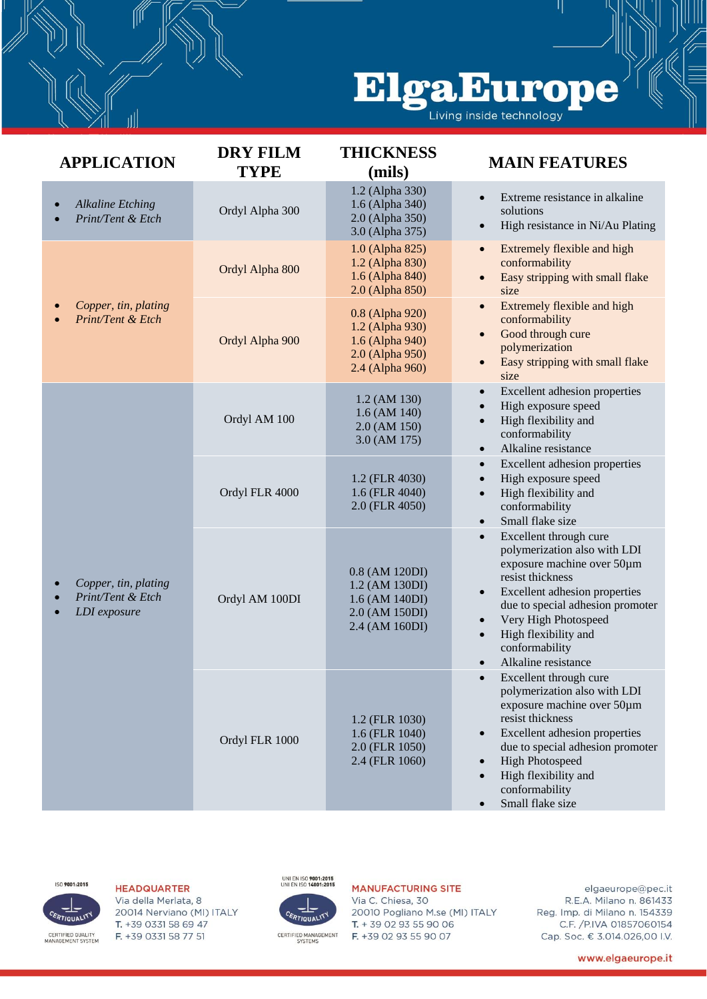## ElgaEurope

| <b>APPLICATION</b>                                        | <b>DRY FILM</b><br><b>TYPE</b> | <b>THICKNESS</b><br>(mils)                                                                  | <b>MAIN FEATURES</b>                                                                                                                                                                                                                                                                |
|-----------------------------------------------------------|--------------------------------|---------------------------------------------------------------------------------------------|-------------------------------------------------------------------------------------------------------------------------------------------------------------------------------------------------------------------------------------------------------------------------------------|
| <b>Alkaline Etching</b><br>Print/Tent & Etch              | Ordyl Alpha 300                | 1.2 (Alpha 330)<br>1.6 (Alpha 340)<br>2.0 (Alpha 350)<br>3.0 (Alpha 375)                    | Extreme resistance in alkaline<br>$\bullet$<br>solutions<br>High resistance in Ni/Au Plating<br>$\bullet$                                                                                                                                                                           |
| Copper, tin, plating<br>Print/Tent & Etch                 | Ordyl Alpha 800                | 1.0 (Alpha 825)<br>1.2 (Alpha 830)<br>1.6 (Alpha 840)<br>2.0 (Alpha 850)                    | Extremely flexible and high<br>$\bullet$<br>conformability<br>Easy stripping with small flake<br>size                                                                                                                                                                               |
|                                                           | Ordyl Alpha 900                | 0.8 (Alpha 920)<br>1.2 (Alpha 930)<br>1.6 (Alpha 940)<br>2.0 (Alpha 950)<br>2.4 (Alpha 960) | Extremely flexible and high<br>conformability<br>Good through cure<br>polymerization<br>Easy stripping with small flake<br>size                                                                                                                                                     |
| Copper, tin, plating<br>Print/Tent & Etch<br>LDI exposure | Ordyl AM 100                   | 1.2 (AM 130)<br>$1.6$ (AM $140$ )<br>2.0 (AM 150)<br>3.0 (AM 175)                           | Excellent adhesion properties<br>$\bullet$<br>High exposure speed<br>High flexibility and<br>$\bullet$<br>conformability<br>Alkaline resistance<br>$\bullet$                                                                                                                        |
|                                                           | Ordyl FLR 4000                 | 1.2 (FLR 4030)<br>1.6 (FLR 4040)<br>2.0 (FLR 4050)                                          | Excellent adhesion properties<br>High exposure speed<br>High flexibility and<br>$\bullet$<br>conformability<br>Small flake size<br>$\bullet$                                                                                                                                        |
|                                                           | Ordyl AM 100DI                 | 0.8 (AM 120DI)<br>1.2 (AM 130DI)<br>1.6 (AM 140DI)<br>2.0 (AM 150DI)<br>2.4 (AM 160DI)      | Excellent through cure<br>polymerization also with LDI<br>exposure machine over 50um<br>resist thickness<br>Excellent adhesion properties<br>$\bullet$<br>due to special adhesion promoter<br>Very High Photospeed<br>High flexibility and<br>conformability<br>Alkaline resistance |
|                                                           | Ordyl FLR 1000                 | 1.2 (FLR 1030)<br>1.6 (FLR 1040)<br>2.0 (FLR 1050)<br>2.4 (FLR 1060)                        | Excellent through cure<br>polymerization also with LDI<br>exposure machine over 50um<br>resist thickness<br>Excellent adhesion properties<br>$\bullet$<br>due to special adhesion promoter<br><b>High Photospeed</b><br>High flexibility and<br>conformability<br>Small flake size  |



## **HEADQUARTER**

Via della Merlata, 8 20014 Nerviano (MI) ITALY T. +39 0331 58 69 47 F. +39 0331 58 77 51



## **MANUFACTURING SITE**

Via C. Chiesa, 30 20010 Pogliano M.se (MI) ITALY T. + 39 02 93 55 90 06 F. +39 02 93 55 90 07

elgaeurope@pec.it R.E.A. Milano n. 861433 Reg. Imp. di Milano n. 154339 C.F. / P.IVA 01857060154 Cap. Soc. € 3.014.026,00 I.V.